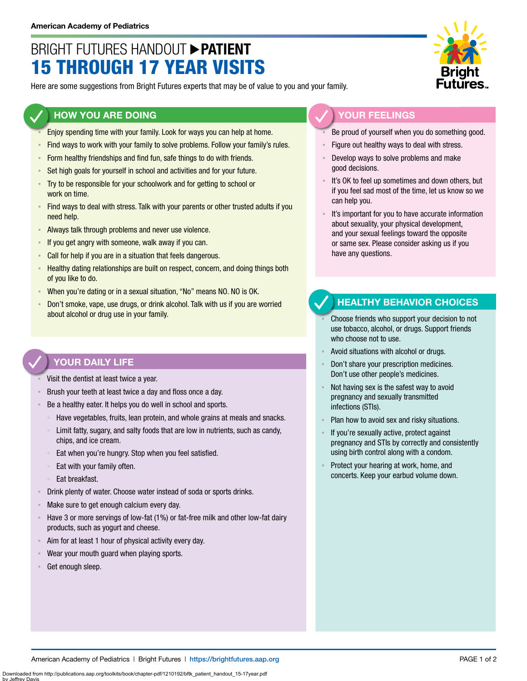## BRIGHT FUTURES HANDOUT **PATIENT** 15 THROUGH 17 YEAR VISITS

Here are some suggestions from Bright Futures experts that may be of value to you and your family.

#### **HOW YOU ARE DOING**

- Enjoy spending time with your family. Look for ways you can help at home.
- Find ways to work with your family to solve problems. Follow your family's rules.
- **EXECT** Form healthy friendships and find fun, safe things to do with friends.
- **EXECT** Set high goals for yourself in school and activities and for your future.
- Try to be responsible for your schoolwork and for getting to school or work on time.
- Find ways to deal with stress. Talk with your parents or other trusted adults if you need help.
- Always talk through problems and never use violence.
- If you get angry with someone, walk away if you can.
- **EXECAL FOR THE CALL FORM IS CALL FORM CALL FORM CALL FORM CALL FORM CALL FORM CALL FORM CALL FORM CALL FORM CALL FORM CALL FORM CALL FORM CALL FORM CALL FORM CALL FORM CALL FORM CALL FORM C**
- **EXECT** Healthy dating relationships are built on respect, concern, and doing things both of you like to do.
- When you're dating or in a sexual situation, "No" means NO. NO is OK.
- Don't smoke, vape, use drugs, or drink alcohol. Talk with us if you are worried about alcohol or drug use in your family.

### **YOUR DAILY LIFE**

- Visit the dentist at least twice a year.
- Brush your teeth at least twice a day and floss once a day.
- Be a healthy eater. It helps you do well in school and sports.
	- Have vegetables, fruits, lean protein, and whole grains at meals and snacks.
	- Limit fatty, sugary, and salty foods that are low in nutrients, such as candy, chips, and ice cream.
	- Eat when you're hungry. Stop when you feel satisfied.
	- Eat with your family often.
	- Eat breakfast.
- Drink plenty of water. Choose water instead of soda or sports drinks.
- Make sure to get enough calcium every day.
- Have 3 or more servings of low-fat (1%) or fat-free milk and other low-fat dairy products, such as yogurt and cheese.
- Aim for at least 1 hour of physical activity every day.
- Wear your mouth guard when playing sports.
- Get enough sleep.



### **YOUR FEELINGS**

- Be proud of yourself when you do something good.
- Figure out healthy ways to deal with stress.
- Develop ways to solve problems and make good decisions.
- It's OK to feel up sometimes and down others, but if you feel sad most of the time, let us know so we can help you.
- It's important for you to have accurate information about sexuality, your physical development, and your sexual feelings toward the opposite or same sex. Please consider asking us if you have any questions.

#### **HEALTHY BEHAVIOR CHOICES**

- Choose friends who support your decision to not use tobacco, alcohol, or drugs. Support friends who choose not to use.
- Avoid situations with alcohol or drugs.
- Don't share your prescription medicines. Don't use other people's medicines.
- Not having sex is the safest way to avoid pregnancy and sexually transmitted infections (STIs).
- Plan how to avoid sex and risky situations.
- If you're sexually active, protect against pregnancy and STIs by correctly and consistently using birth control along with a condom.
- Protect your hearing at work, home, and concerts. Keep your earbud volume down.